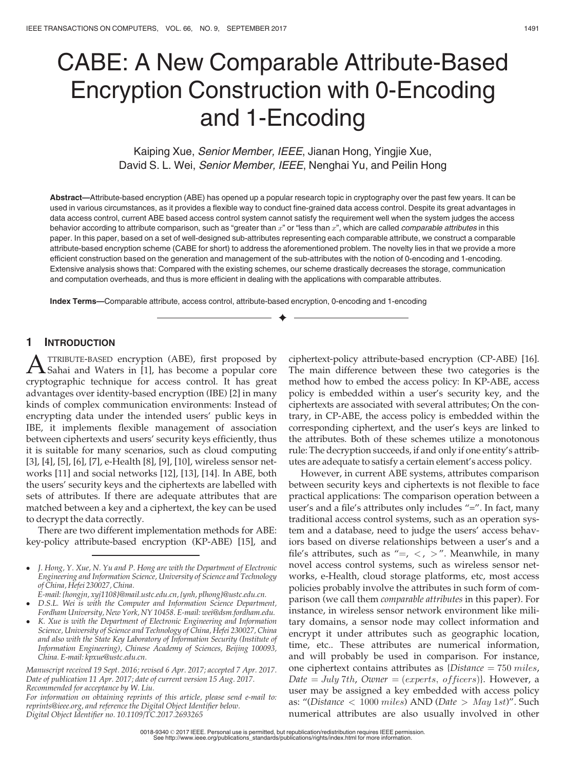# CABE: A New Comparable Attribute-Based Encryption Construction with 0-Encoding and 1-Encoding

Kaiping Xue, Senior Member, IEEE, Jianan Hong, Yingjie Xue, David S. L. Wei, Senior Member, IEEE, Nenghai Yu, and Peilin Hong

Abstract—Attribute-based encryption (ABE) has opened up a popular research topic in cryptography over the past few years. It can be used in various circumstances, as it provides a flexible way to conduct fine-grained data access control. Despite its great advantages in data access control, current ABE based access control system cannot satisfy the requirement well when the system judges the access behavior according to attribute comparison, such as "greater than  $x$ " or "less than  $x$ ", which are called *comparable attributes* in this paper. In this paper, based on a set of well-designed sub-attributes representing each comparable attribute, we construct a comparable attribute-based encryption scheme (CABE for short) to address the aforementioned problem. The novelty lies in that we provide a more efficient construction based on the generation and management of the sub-attributes with the notion of 0-encoding and 1-encoding. Extensive analysis shows that: Compared with the existing schemes, our scheme drastically decreases the storage, communication and computation overheads, and thus is more efficient in dealing with the applications with comparable attributes.

 $\bigstar$ 

Index Terms—Comparable attribute, access control, attribute-based encryption, 0-encoding and 1-encoding

# 1 INTRODUCTION

A TTRIBUTE-BASED encryption (ABE), first proposed by<br>Sahai and Waters in [1], has become a popular core<br>surprisonably to believe for access spatial. It has great cryptographic technique for access control. It has great advantages over identity-based encryption (IBE) [2] in many kinds of complex communication environments: Instead of encrypting data under the intended users' public keys in IBE, it implements flexible management of association between ciphertexts and users' security keys efficiently, thus it is suitable for many scenarios, such as cloud computing [3], [4], [5], [6], [7], e-Health [8], [9], [10], wireless sensor networks [11] and social networks [12], [13], [14]. In ABE, both the users' security keys and the ciphertexts are labelled with sets of attributes. If there are adequate attributes that are matched between a key and a ciphertext, the key can be used to decrypt the data correctly.

There are two different implementation methods for ABE: key-policy attribute-based encryption (KP-ABE) [15], and

- E-mail: {hongjn, xyj1108}@mail.ustc.edu.cn, {ynh, plhong}@ustc.edu.cn.  $\bullet$  D.S.L. Wei is with the Computer and Information Science Department, Fordham University, New York, NY 10458. E-mail: wei@dsm.fordham.edu.
- $\bullet$  K. Xue is with the Department of Electronic Engineering and Information Science, University of Science and Technology of China, Hefei 230027, China and also with the State Key Laboratory of Information Security (Institute of Information Engineering), Chinese Academy of Sciences, Beijing 100093, China. E-mail: kpxue@ustc.edu.cn.

Manuscript received 19 Sept. 2016; revised 6 Apr. 2017; accepted 7 Apr. 2017. Date of publication 11 Apr. 2017; date of current version 15 Aug. 2017. Recommended for acceptance by W. Liu.

For information on obtaining reprints of this article, please send e-mail to: reprints@ieee.org, and reference the Digital Object Identifier below. Digital Object Identifier no. 10.1109/TC.2017.2693265

ciphertext-policy attribute-based encryption (CP-ABE) [16]. The main difference between these two categories is the method how to embed the access policy: In KP-ABE, access policy is embedded within a user's security key, and the ciphertexts are associated with several attributes; On the contrary, in CP-ABE, the access policy is embedded within the corresponding ciphertext, and the user's keys are linked to the attributes. Both of these schemes utilize a monotonous rule: The decryption succeeds, if and only if one entity's attributes are adequate to satisfy a certain element's access policy.

However, in current ABE systems, attributes comparison between security keys and ciphertexts is not flexible to face practical applications: The comparison operation between a user's and a file's attributes only includes "=". In fact, many traditional access control systems, such as an operation system and a database, need to judge the users' access behaviors based on diverse relationships between a user's and a file's attributes, such as "=,  $\lt$ ,  $>$ ". Meanwhile, in many novel access control systems, such as wireless sensor networks, e-Health, cloud storage platforms, etc, most access policies probably involve the attributes in such form of comparison (we call them comparable attributes in this paper). For instance, in wireless sensor network environment like military domains, a sensor node may collect information and encrypt it under attributes such as geographic location, time, etc.. These attributes are numerical information, and will probably be used in comparison. For instance, one ciphertext contains attributes as  $\{Distance = 750$  miles, Date  $=$  July 7th, Owner  $=$  (experts, officers). However, a user may be assigned a key embedded with access policy as: "(Distance  $\langle$  1000 miles) AND (Date  $>$  May 1st)". Such numerical attributes are also usually involved in other

<sup>-</sup> J. Hong, Y. Xue, N. Yu and P. Hong are with the Department of Electronic Engineering and Information Science, University of Science and Technology of China, Hefei 230027, China.

<sup>0018-9340 © 2017</sup> IEEE. Personal use is permitted, but republication/redistribution requires IEEE permission. See http://www.ieee.org/publications\_standards/publications/rights/index.html for more information.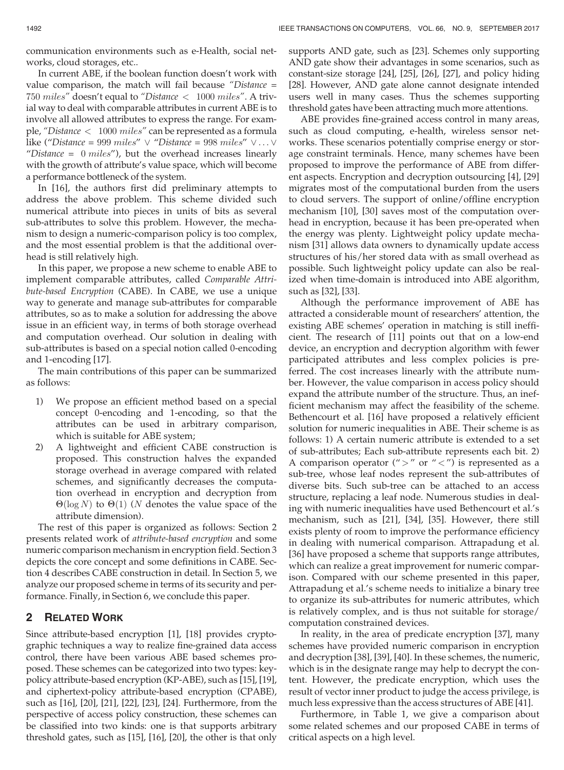communication environments such as e-Health, social networks, cloud storages, etc..

In current ABE, if the boolean function doesn't work with value comparison, the match will fail because "Distance = 750 miles" doesn't equal to "Distance <sup>&</sup>lt; 1000 miles". A trivial way to deal with comparable attributes in current ABE is to involve all allowed attributes to express the range. For example, "Distance <sup>&</sup>lt; 1000 miles" can be represented as a formula like ("Distance = 999 miles"  $\vee$  "Distance = 998 miles"  $\vee \dots \vee$ "Distance =  $0$  miles"), but the overhead increases linearly with the growth of attribute's value space, which will become a performance bottleneck of the system.

In [16], the authors first did preliminary attempts to address the above problem. This scheme divided such numerical attribute into pieces in units of bits as several sub-attributes to solve this problem. However, the mechanism to design a numeric-comparison policy is too complex, and the most essential problem is that the additional overhead is still relatively high.

In this paper, we propose a new scheme to enable ABE to implement comparable attributes, called Comparable Attribute-based Encryption (CABE). In CABE, we use a unique way to generate and manage sub-attributes for comparable attributes, so as to make a solution for addressing the above issue in an efficient way, in terms of both storage overhead and computation overhead. Our solution in dealing with sub-attributes is based on a special notion called 0-encoding and 1-encoding [17].

The main contributions of this paper can be summarized as follows:

- 1) We propose an efficient method based on a special concept 0-encoding and 1-encoding, so that the attributes can be used in arbitrary comparison, which is suitable for ABE system;
- 2) A lightweight and efficient CABE construction is proposed. This construction halves the expanded storage overhead in average compared with related schemes, and significantly decreases the computation overhead in encryption and decryption from  $\Theta(\log N)$  to  $\Theta(1)$  (N denotes the value space of the attribute dimension).

The rest of this paper is organized as follows: Section 2 presents related work of attribute-based encryption and some numeric comparison mechanism in encryption field. Section 3 depicts the core concept and some definitions in CABE. Section 4 describes CABE construction in detail. In Section 5, we analyze our proposed scheme in terms of its security and performance. Finally, in Section 6, we conclude this paper.

# 2 RELATED WORK

Since attribute-based encryption [1], [18] provides cryptographic techniques a way to realize fine-grained data access control, there have been various ABE based schemes proposed. These schemes can be categorized into two types: keypolicy attribute-based encryption (KP-ABE), such as [15], [19], and ciphertext-policy attribute-based encryption (CPABE), such as [16], [20], [21], [22], [23], [24]. Furthermore, from the perspective of access policy construction, these schemes can be classified into two kinds: one is that supports arbitrary threshold gates, such as [15], [16], [20], the other is that only supports AND gate, such as [23]. Schemes only supporting AND gate show their advantages in some scenarios, such as constant-size storage [24], [25], [26], [27], and policy hiding [28]. However, AND gate alone cannot designate intended users well in many cases. Thus the schemes supporting threshold gates have been attracting much more attentions.

ABE provides fine-grained access control in many areas, such as cloud computing, e-health, wireless sensor networks. These scenarios potentially comprise energy or storage constraint terminals. Hence, many schemes have been proposed to improve the performance of ABE from different aspects. Encryption and decryption outsourcing [4], [29] migrates most of the computational burden from the users to cloud servers. The support of online/offline encryption mechanism [10], [30] saves most of the computation overhead in encryption, because it has been pre-operated when the energy was plenty. Lightweight policy update mechanism [31] allows data owners to dynamically update access structures of his/her stored data with as small overhead as possible. Such lightweight policy update can also be realized when time-domain is introduced into ABE algorithm, such as [32], [33].

Although the performance improvement of ABE has attracted a considerable mount of researchers' attention, the existing ABE schemes' operation in matching is still inefficient. The research of [11] points out that on a low-end device, an encryption and decryption algorithm with fewer participated attributes and less complex policies is preferred. The cost increases linearly with the attribute number. However, the value comparison in access policy should expand the attribute number of the structure. Thus, an inefficient mechanism may affect the feasibility of the scheme. Bethencourt et al. [16] have proposed a relatively efficient solution for numeric inequalities in ABE. Their scheme is as follows: 1) A certain numeric attribute is extended to a set of sub-attributes; Each sub-attribute represents each bit. 2) A comparison operator (" > " or " < ") is represented as a sub-tree, whose leaf nodes represent the sub-attributes of diverse bits. Such sub-tree can be attached to an access structure, replacing a leaf node. Numerous studies in dealing with numeric inequalities have used Bethencourt et al.'s mechanism, such as [21], [34], [35]. However, there still exists plenty of room to improve the performance efficiency in dealing with numerical comparison. Attrapadung et al. [36] have proposed a scheme that supports range attributes, which can realize a great improvement for numeric comparison. Compared with our scheme presented in this paper, Attrapadung et al.'s scheme needs to initialize a binary tree to organize its sub-attributes for numeric attributes, which is relatively complex, and is thus not suitable for storage/ computation constrained devices.

In reality, in the area of predicate encryption [37], many schemes have provided numeric comparison in encryption and decryption [38], [39], [40]. In these schemes, the numeric, which is in the designate range may help to decrypt the content. However, the predicate encryption, which uses the result of vector inner product to judge the access privilege, is much less expressive than the access structures of ABE [41].

Furthermore, in Table 1, we give a comparison about some related schemes and our proposed CABE in terms of critical aspects on a high level.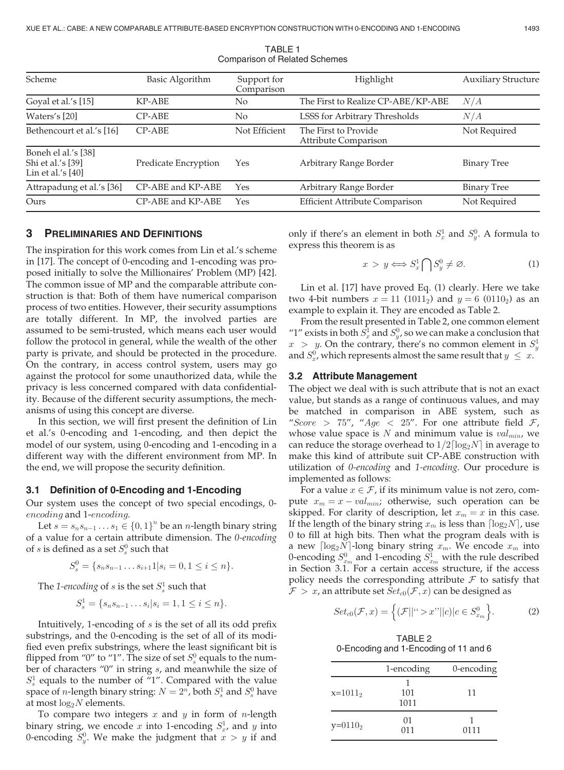| Scheme                                                        | Basic Algorithm      | Support for<br>Comparison | Highlight                                    | <b>Auxiliary Structure</b> |
|---------------------------------------------------------------|----------------------|---------------------------|----------------------------------------------|----------------------------|
| Goyal et al.'s [15]                                           | KP-ABE               | N <sub>0</sub>            | The First to Realize CP-ABE/KP-ABE           | N/A                        |
| Waters's [20]                                                 | CP-ABE               | N <sub>0</sub>            | LSSS for Arbitrary Thresholds                | N/A                        |
| Bethencourt et al.'s [16]                                     | $CP-ABE$             | Not Efficient             | The First to Provide<br>Attribute Comparison | Not Required               |
| Boneh el al.'s [38]<br>Shi et al.'s [39]<br>Lin et al.'s [40] | Predicate Encryption | Yes                       | Arbitrary Range Border                       | <b>Binary Tree</b>         |
| Attrapadung et al.'s [36]                                     | CP-ABE and KP-ABE    | Yes                       | Arbitrary Range Border                       | <b>Binary Tree</b>         |
| Ours                                                          | CP-ABE and KP-ABE    | Yes                       | <b>Efficient Attribute Comparison</b>        | Not Required               |
|                                                               |                      |                           |                                              |                            |

TABLE 1 Comparison of Related Schemes

# 3 PRELIMINARIES AND DEFINITIONS

The inspiration for this work comes from Lin et al.'s scheme in [17]. The concept of 0-encoding and 1-encoding was proposed initially to solve the Millionaires' Problem (MP) [42]. The common issue of MP and the comparable attribute construction is that: Both of them have numerical comparison process of two entities. However, their security assumptions are totally different. In MP, the involved parties are assumed to be semi-trusted, which means each user would follow the protocol in general, while the wealth of the other party is private, and should be protected in the procedure. On the contrary, in access control system, users may go against the protocol for some unauthorized data, while the privacy is less concerned compared with data confidentiality. Because of the different security assumptions, the mechanisms of using this concept are diverse.

In this section, we will first present the definition of Lin et al.'s 0-encoding and 1-encoding, and then depict the model of our system, using 0-encoding and 1-encoding in a different way with the different environment from MP. In the end, we will propose the security definition.

#### 3.1 Definition of 0-Encoding and 1-Encoding

Our system uses the concept of two special encodings, 0 encoding and 1-encoding.

Let  $s = s_n s_{n-1} \dots s_1 \in \{0, 1\}^n$  be an *n*-length binary string of a value for a certain attribute dimension. The 0-encoding of s is defined as a set  $S_s^0$  such that

$$
S_s^0 = \{s_n s_{n-1} \dots s_{i+1} 1 | s_i = 0, 1 \le i \le n\}.
$$

The 1-encoding of s is the set  $S^1_s$  such that

$$
S_s^1 = \{s_n s_{n-1} \dots s_i | s_i = 1, 1 \le i \le n\}.
$$

Intuitively, 1-encoding of s is the set of all its odd prefix substrings, and the 0-encoding is the set of all of its modified even prefix substrings, where the least significant bit is flipped from "0" to "1". The size of set  $S^0_s$  equals to the number of characters "0" in string s, and meanwhile the size of  $S_s^1$  equals to the number of "1". Compared with the value space of *n*-length binary string:  $N = 2^n$ , both  $S_s^1$  and  $S_s^0$  have at most log<sub>s</sub> N elements at most  $log_2N$  elements.

To compare two integers  $x$  and  $y$  in form of  $n$ -length binary string, we encode x into 1-encoding  $S_x^1$ , and y into 0-encoding  $S_y^0$ . We make the judgment that  $x>y$  if and

only if there's an element in both  $S_x^1$  and  $S_y^0$ . A formula to express this theorem is as

$$
x > y \Longleftrightarrow S_x^1 \bigcap S_y^0 \neq \varnothing. \tag{1}
$$

Lin et al. [17] have proved Eq. (1) clearly. Here we take two 4-bit numbers  $x = 11$  (1011<sub>2</sub>) and  $y = 6$  (0110<sub>2</sub>) as an example to explain it. They are encoded as Table 2.

From the result presented in Table 2, one common element "1" exists in both  $S_x^1$  and  $S_y^0$ , so we can make a conclusion that  $x > y$ . On the contrary, there's no common element in  $S_y^1$ and  $S_x^0$ , which represents almost the same result that  $y \leq x$ .

#### 3.2 Attribute Management

The object we deal with is such attribute that is not an exact value, but stands as a range of continuous values, and may be matched in comparison in ABE system, such as "Score > 75", "Age < 25". For one attribute field  $\mathcal{F}$ , whose value space is  $N$  and minimum value is  $val_{min}$ , we can reduce the storage overhead to  $1/2\lceil \log_2 N \rceil$  in average to make this kind of attribute suit CP-ABE construction with utilization of 0-encoding and 1-encoding. Our procedure is implemented as follows:

For a value  $x \in \mathcal{F}$ , if its minimum value is not zero, compute  $x_m = x - val_{min}$ ; otherwise, such operation can be skipped. For clarity of description, let  $x_m = x$  in this case. If the length of the binary string  $x_m$  is less than  $\lceil \log_2 N \rceil$ , use 0 to fill at high bits. Then what the program deals with is a new  $\lceil \log_2 N \rceil$ -long binary string  $x_m$ . We encode  $x_m$  into 0-encoding  $S_{x_m}^0$  and 1-encoding  $S_{x_m}^1$  with the rule described in Section 3.1. For a certain access structure, if the access policy needs the corresponding attribute  $\mathcal F$  to satisfy that  $\mathcal{F} > x$ , an attribute set  $Set_{c0}(\mathcal{F}, x)$  can be designed as

$$
Set_{c0}(\mathcal{F},x) = \left\{ (\mathcal{F}||^{c} > x^{\prime\prime}||c)|c \in S_{x_m}^0 \right\}.
$$
 (2)

TABLE 2 0-Encoding and 1-Encoding of 11 and 6

|            | 1-encoding  | 0-encoding |
|------------|-------------|------------|
| $x=1011_2$ | 101<br>1011 | 11         |
| $y=0110_2$ | 01<br>011   | 0111       |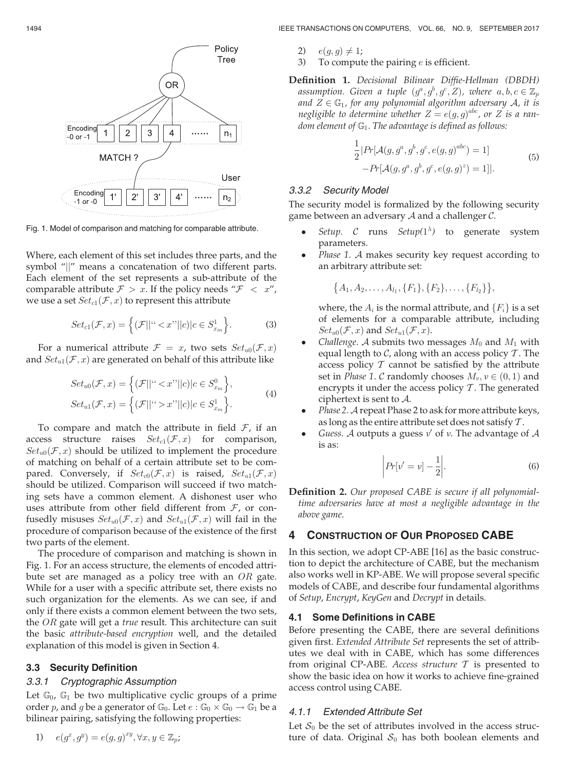

Fig. 1. Model of comparison and matching for comparable attribute.

Where, each element of this set includes three parts, and the symbol "||" means a concatenation of two different parts. Each element of the set represents a sub-attribute of the comparable attribute  $\mathcal{F} > x$ . If the policy needs " $\mathcal{F} < x$ ", we use a set  $Set_{c1}(\mathcal{F}, x)$  to represent this attribute

$$
Set_{c1}(\mathcal{F}, x) = \left\{ (\mathcal{F}||^{4} < x^{"}||c)|c \in S_{x_m}^1 \right\}.
$$
\n<sup>(3)</sup>

For a numerical attribute  $\mathcal{F} = x$ , two sets  $Set_{u0}(\mathcal{F}, x)$ and  $Set_{u1}(\mathcal{F}, x)$  are generated on behalf of this attribute like

$$
Set_{u0}(\mathcal{F}, x) = \left\{ (\mathcal{F}||^{u} < x"||c)|c \in S_{x_m}^0 \right\},\
$$
\n
$$
Set_{u1}(\mathcal{F}, x) = \left\{ (\mathcal{F}||^{u} > x"||c)|c \in S_{x_m}^1 \right\}.\tag{4}
$$

To compare and match the attribute in field  $\mathcal{F}$ , if an access structure raises  $Set_{c1}(\mathcal{F}, x)$  for comparison,  $Set_{u0}(\mathcal{F}, x)$  should be utilized to implement the procedure of matching on behalf of a certain attribute set to be compared. Conversely, if  $Set_{c0}(\mathcal{F}, x)$  is raised,  $Set_{u1}(\mathcal{F}, x)$ should be utilized. Comparison will succeed if two matching sets have a common element. A dishonest user who uses attribute from other field different from  $F$ , or confusedly misuses  $Set_{u0}(\mathcal{F}, x)$  and  $Set_{u1}(\mathcal{F}, x)$  will fail in the procedure of comparison because of the existence of the first two parts of the element.

The procedure of comparison and matching is shown in Fig. 1. For an access structure, the elements of encoded attribute set are managed as a policy tree with an OR gate. While for a user with a specific attribute set, there exists no such organization for the elements. As we can see, if and only if there exists a common element between the two sets, the  $OR$  gate will get a *true* result. This architecture can suit the basic attribute-based encryption well, and the detailed explanation of this model is given in Section 4.

# 3.3 Security Definition

## 3.3.1 Cryptographic Assumption

Let  $\mathbb{G}_0$ ,  $\mathbb{G}_1$  be two multiplicative cyclic groups of a prime order p, and g be a generator of  $\mathbb{G}_0$ . Let  $e : \mathbb{G}_0 \times \mathbb{G}_0 \to \mathbb{G}_1$  be a bilinear pairing, satisfying the following properties:

1) 
$$
e(g^x, g^y) = e(g, g)^{xy}, \forall x, y \in \mathbb{Z}_p;
$$

1494 IEEE TRANSACTIONS ON COMPUTERS, VOL. 66, NO. 9, SEPTEMBER 2017

- 2)  $e(g, g) \neq 1;$ <br>3) To comput
- To compute the pairing  $e$  is efficient.

Definition 1. Decisional Bilinear Diffie-Hellman (DBDH) assumption. Given a tuple  $(g^a, g^b, g^c, Z)$ , where  $a, b, c \in \mathbb{Z}_p$ and  $Z \in \mathbb{G}_1$ , for any polynomial algorithm adversary A, it is negligible to determine whether  $Z = e(g,g)^{abc}$ , or  $Z$  is a random element of  $\mathbb{G}_1$ . The advantage is defined as follows:

$$
\frac{1}{2} |Pr[\mathcal{A}(g, g^a, g^b, g^c, e(g, g)^{abc}) = 1] - Pr[\mathcal{A}(g, g^a, g^b, g^c, e(g, g)^z) = 1]|.
$$
\n(5)

#### 3.3.2 Security Model

The security model is formalized by the following security game between an adversary  $A$  and a challenger  $C$ .

- $\bullet$ • *Setup.* C runs *Setup*( $1^{\lambda}$ ) to generate system parameters parameters.
- $\bullet$ Phase 1. A makes security key request according to an arbitrary attribute set:

 $\{A_1, A_2, \ldots, A_{l_1}, \{F_1\}, \{F_2\}, \ldots, \{F_{l_2}\}\}\,$ 

where, the  $A_i$  is the normal attribute, and  $\{F_i\}$  is a set of elements for a comparable attribute, including  $Set_{u0}(\mathcal{F}, x)$  and  $Set_{u1}(\mathcal{F}, x)$ .

- $\bullet$ Challenge. A submits two messages  $M_0$  and  $M_1$  with equal length to  $\mathcal{C}$ , along with an access policy  $\mathcal{T}$ . The access policy  $T$  cannot be satisfied by the attribute set in *Phase 1. C* randomly chooses  $M_{\nu}$ ,  $\nu \in (0, 1)$  and encrypts it under the access policy  $T$ . The generated ciphertext is sent to A.
- $\bullet$  Phase 2. A repeat Phase 2 to ask for more attribute keys, as long as the entire attribute set does not satisfy  $T$ .
- $\bullet$ Guess. A outputs a guess  $v'$  of v. The advantage of A is as:

$$
\left| Pr[v' = v] - \frac{1}{2} \right|.
$$
\n<sup>(6)</sup>

Definition 2. Our proposed CABE is secure if all polynomialtime adversaries have at most a negligible advantage in the above game.

# 4 CONSTRUCTION OF OUR PROPOSED CABE

In this section, we adopt CP-ABE [16] as the basic construction to depict the architecture of CABE, but the mechanism also works well in KP-ABE. We will propose several specific models of CABE, and describe four fundamental algorithms of Setup, Encrypt, KeyGen and Decrypt in details.

#### 4.1 Some Definitions in CABE

Before presenting the CABE, there are several definitions given first. Extended Attribute Set represents the set of attributes we deal with in CABE, which has some differences from original CP-ABE. Access structure  $T$  is presented to show the basic idea on how it works to achieve fine-grained access control using CABE.

# 4.1.1 Extended Attribute Set

Let  $S_0$  be the set of attributes involved in the access structure of data. Original  $S_0$  has both boolean elements and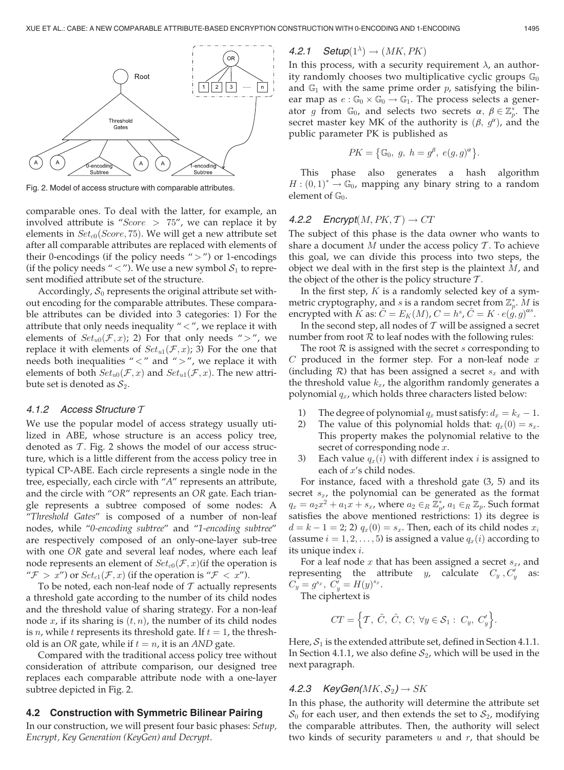

Fig. 2. Model of access structure with comparable attributes.

comparable ones. To deal with the latter, for example, an involved attribute is "Score  $> 75$ ", we can replace it by elements in  $Set_{c0}(Score, 75)$ . We will get a new attribute set after all comparable attributes are replaced with elements of their 0-encodings (if the policy needs " $>$ ") or 1-encodings (if the policy needs "  $\lt$  "). We use a new symbol  $S_1$  to represent modified attribute set of the structure.

Accordingly,  $S_0$  represents the original attribute set without encoding for the comparable attributes. These comparable attributes can be divided into 3 categories: 1) For the attribute that only needs inequality  $" < "$ , we replace it with elements of  $Set_{u0}(\mathcal{F}, x)$ ; 2) For that only needs ">", we replace it with elements of  $Set_{u1}(\mathcal{F}, x)$ ; 3) For the one that needs both inequalities " $\lt$ " and " $>$ ", we replace it with elements of both  $Set_{u0}(\mathcal{F}, x)$  and  $Set_{u1}(\mathcal{F}, x)$ . The new attribute set is denoted as  $S_2$ .

#### 4.1.2 Access Structure T

We use the popular model of access strategy usually utilized in ABE, whose structure is an access policy tree, denoted as  $T$ . Fig. 2 shows the model of our access structure, which is a little different from the access policy tree in typical CP-ABE. Each circle represents a single node in the tree, especially, each circle with "A" represents an attribute, and the circle with "OR" represents an OR gate. Each triangle represents a subtree composed of some nodes: A "Threshold Gates" is composed of a number of non-leaf nodes, while "0-encoding subtree" and "1-encoding subtree" are respectively composed of an only-one-layer sub-tree with one OR gate and several leaf nodes, where each leaf node represents an element of  $Set_{c0}(\mathcal{F}, x)$  (if the operation is " $\mathcal{F} > x$ ") or  $Set_{c1}(\mathcal{F}, x)$  (if the operation is " $\mathcal{F} < x$ ").

To be noted, each non-leaf node of  $\mathcal T$  actually represents a threshold gate according to the number of its child nodes and the threshold value of sharing strategy. For a non-leaf node  $x$ , if its sharing is  $(t, n)$ , the number of its child nodes is *n*, while *t* represents its threshold gate. If  $t = 1$ , the threshold is an OR gate, while if  $t = n$ , it is an AND gate.

Compared with the traditional access policy tree without consideration of attribute comparison, our designed tree replaces each comparable attribute node with a one-layer subtree depicted in Fig. 2.

#### 4.2 Construction with Symmetric Bilinear Pairing

In our construction, we will present four basic phases: Setup, Encrypt, Key Generation (KeyGen) and Decrypt.

# 4.2.1 Setup $(1^{\lambda}) \rightarrow (MK, PK)$ <br>In this process, with a security

In this process, with a security requirement  $\lambda$ , an authority randomly chooses two multiplicative cyclic groups  $\mathbb{G}_0$ and  $\mathbb{G}_1$  with the same prime order p, satisfying the bilinear map as  $e : \mathbb{G}_0 \times \mathbb{G}_0 \to \mathbb{G}_1$ . The process selects a generator g from  $\mathbb{G}_0$ , and selects two secrets  $\alpha$ ,  $\beta \in \mathbb{Z}_p^*$ . The secret master key MK of the authority is  $(\beta, \alpha^{\alpha})$  and the secret master key MK of the authority is  $(\beta, g^{\alpha})$ , and the public parameter PK is published as

$$
PK = \big\{\mathbb{G}_0, g, h = g^{\beta}, e(g, g)^{\alpha}\big\}.
$$

This phase also generates a hash algorithm  $H : (0,1)^* \to \mathbb{G}_0$ , mapping any binary string to a random<br>element of  $\mathbb{G}_0$ element of  $\mathbb{G}_0$ .

#### 4.2.2 Encrypt $(M, PK, T) \rightarrow CT$

The subject of this phase is the data owner who wants to share a document M under the access policy  $\mathcal T$ . To achieve this goal, we can divide this process into two steps, the object we deal with in the first step is the plaintext  $M$ , and the object of the other is the policy structure  $\mathcal{T}$ .

In the first step,  $K$  is a randomly selected key of a symmetric cryptography, and *s* is a random secret from  $\mathbb{Z}_p^*$ . *M* is encrypted with  $\tilde{K}$  as:  $\tilde{C} = E_K(M), C = h^s, \hat{C} = K \cdot e(\tilde{g}, g)^{\alpha s}$ .

In the second step, all nodes of  $T$  will be assigned a secret number from root  $R$  to leaf nodes with the following rules:

The root  $R$  is assigned with the secret s corresponding to  $C$  produced in the former step. For a non-leaf node  $x$ (including R) that has been assigned a secret  $s_x$  and with the threshold value  $k_x$ , the algorithm randomly generates a polynomial  $q_x$ , which holds three characters listed below:

- 1) The degree of polynomial  $q_x$  must satisfy:  $d_x = k_x 1$ .<br>2) The value of this polynomial holds that:  $a_x(0) = s_x$ .
- The value of this polynomial holds that:  $q_x(0) = s_x$ . This property makes the polynomial relative to the secret of corresponding node x.
- 3) Each value  $q_x(i)$  with different index *i* is assigned to each of x's child nodes.

For instance, faced with a threshold gate (3, 5) and its secret  $s_x$ , the polynomial can be generated as the format  $q_x = a_2 x^2 + a_1 x + s_x$ , where  $a_2 \in_R \mathbb{Z}_{p}^*$ ,  $a_1 \in_R \mathbb{Z}_p$ . Such format satisfies the above mentioned restrictions: 1) its degree is  $d = k - 1 = 2$ ; 2)  $q_x(0) = s_x$ . Then, each of its child nodes  $x_i$ (assume  $i = 1, 2, \ldots, 5$ ) is assigned a value  $q_x(i)$  according to its unique index i.

For a leaf node  $x$  that has been assigned a secret  $s_x$ , and representing the attribute *y*, calculate  $C_y$ ,  $C'_y$  as:  $C_y = g^{s_x}, C_y = H(y)^{s_x}.$ 

The ciphertext is

$$
CT = \Big\{T, \ \tilde{C}, \ \hat{C}, \ C; \ \forall y \in S_1: \ C_y, \ C'_y \Big\}.
$$

Here,  $S_1$  is the extended attribute set, defined in Section 4.1.1. In Section 4.1.1, we also define  $S_2$ , which will be used in the next paragraph.

## 4.2.3 KeyGen( $MK, S_2$ )  $\rightarrow SK$

In this phase, the authority will determine the attribute set  $S_0$  for each user, and then extends the set to  $S_2$ , modifying the comparable attributes. Then, the authority will select two kinds of security parameters  $u$  and  $r$ , that should be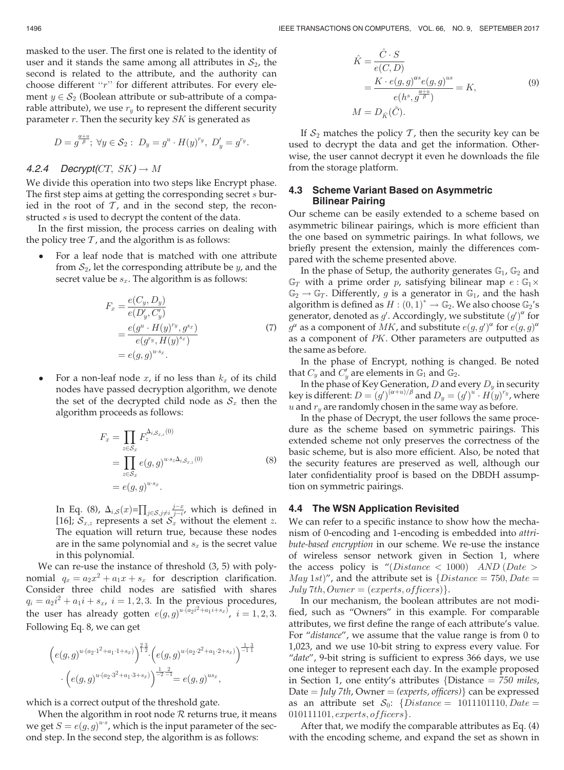masked to the user. The first one is related to the identity of user and it stands the same among all attributes in  $S_2$ , the second is related to the attribute, and the authority can choose different " $r$ " for different attributes. For every element  $y \in S_2$  (Boolean attribute or sub-attribute of a comparable attribute), we use  $r_y$  to represent the different security parameter  $r$ . Then the security key  $SK$  is generated as

$$
D=g^{\frac{\alpha+u}{\beta}};\ \forall y\in\mathcal{S}_2:\ D_y=g^u\cdot H(y)^{r_y},\ D'_y=g^{r_y}.
$$

# 4.2.4 Decrypt(CT,  $SK$ )  $\rightarrow$  M

We divide this operation into two steps like Encrypt phase. The first step aims at getting the corresponding secret s buried in the root of  $\mathcal T$ , and in the second step, the reconstructed s is used to decrypt the content of the data.

In the first mission, the process carries on dealing with the policy tree  $\mathcal T$ , and the algorithm is as follows:

 $\bullet$  For a leaf node that is matched with one attribute from  $S_2$ , let the corresponding attribute be y, and the secret value be  $s_x$ . The algorithm is as follows:

$$
F_x = \frac{e(C_y, D_y)}{e(D'_y, C'_y)}
$$
  
= 
$$
\frac{e(g^u \cdot H(y)^{r_y}, g^{s_x})}{e(g^{r_y}, H(y)^{s_x})}
$$
  
= 
$$
e(g, g)^{u \cdot s_x}.
$$
 (7)

 $\bullet$ For a non-leaf node  $x$ , if no less than  $k_x$  of its child nodes have passed decryption algorithm, we denote the set of the decrypted child node as  $S_x$  then the algorithm proceeds as follows:

$$
F_x = \prod_{z \in \mathcal{S}_x} F_z^{\Delta_{i,\mathcal{S}_{x,z}}(0)}
$$
  
= 
$$
\prod_{z \in \mathcal{S}_x} e(g,g)^{u \cdot s_z \Delta_{i,\mathcal{S}_{x,z}}(0)}
$$
  
= 
$$
e(g,g)^{u \cdot s_x}.
$$
 (8)

In Eq. (8),  $\Delta_{i,S}(x) = \prod_{j \in S, j \neq i} \frac{j-x}{j-i}$ , which is defined in [16];  $S_{x,z}$  represents a set  $S_x$  without the element z. The equation will return true, because these nodes are in the same polynomial and  $s_x$  is the secret value in this polynomial.

We can re-use the instance of threshold (3, 5) with polynomial  $q_x = a_2x^2 + a_1x + s_x$  for description clarification. Consider three child nodes are satisfied with shares  $q_i = a_2 i^2 + a_1 i + s_x$ ,  $i = 1, 2, 3$ . In the previous procedures,<br>the user has already setten  $e^{(a_1 c_2 i^2 + a_1 i + s_x)}$ ,  $i = 1, 2, 3$ . the user has already gotten  $e(g,g)^{u \cdot (a_2 i^2 + a_1 i + s_x)}$ ,  $i = 1, 2, 3$ . Following Eq. 8, we can get

$$
\left(e(g,g)^{u \cdot (a_2 \cdot 1^2 + a_1 \cdot 1 + s_x)}\right)^{\frac{2}{12}} \cdot \left(e(g,g)^{u \cdot (a_2 \cdot 2^2 + a_1 \cdot 2 + s_x)}\right)^{\frac{1}{-1}} \cdot \left(e(g,g)^{u \cdot (a_2 \cdot 3^2 + a_1 \cdot 3 + s_x)}\right)^{\frac{1}{-2}} = e(g,g)^{us_x},
$$

which is a correct output of the threshold gate.

When the algorithm in root node  $R$  returns true, it means we get  $S = e(g, g)^{u \cdot s}$ , which is the input parameter of the second step. In the second step, the algorithm is as follows:

$$
\hat{K} = \frac{\hat{C} \cdot S}{e(C, D)} \n= \frac{K \cdot e(g, g)^{\alpha s} e(g, g)^{us}}{e(h^s, g^{\frac{\alpha + u}{\beta}})} = K,
$$
\n
$$
M = D_{\hat{K}}(\tilde{C}).
$$
\n(9)

If  $S_2$  matches the policy  $T$ , then the security key can be used to decrypt the data and get the information. Otherwise, the user cannot decrypt it even he downloads the file from the storage platform.

# 4.3 Scheme Variant Based on Asymmetric Bilinear Pairing

Our scheme can be easily extended to a scheme based on asymmetric bilinear pairings, which is more efficient than the one based on symmetric pairings. In what follows, we briefly present the extension, mainly the differences compared with the scheme presented above.

In the phase of Setup, the authority generates  $\mathbb{G}_1$ ,  $\mathbb{G}_2$  and  $\mathbb{G}_T$  with a prime order p, satisfying bilinear map  $e : \mathbb{G}_1 \times$  $\mathbb{G}_2 \rightarrow \mathbb{G}_T$ . Differently, g is a generator in  $\mathbb{G}_1$ , and the hash algorithm is defined as  $H : (0,1)^* \to \mathbb{G}_2$ . We also choose  $\mathbb{G}_2$ 's generator, denoted as  $g'$ . Accordingly, we substitute  $(g')^{\alpha}$  for generator, denoted as  $g'$ . Accordingly, we substitute  $(g')^{\alpha}$  for  $g^{\alpha}$  as a component of  $MK$ , and substitute  $e(g,g')^{\alpha}$  for  $e(g,g)^{\alpha}$ as a component of PK. Other parameters are outputted as the same as before.

In the phase of Encrypt, nothing is changed. Be noted that  $C_y$  and  $C'_y$  are elements in  $\mathbb{G}_1$  and  $\mathbb{G}_2$ .<br>In the phase of Key Concration, D and  $\ell$ 

In the phase of Key Generation,  $D$  and every  $D_y$  in security key is different:  $D = (g')^{(\alpha+u)/\beta}$  and  $D_y = (g')^u \cdot H(y)^{r_y}$ , where u and  $r<sub>v</sub>$  are randomly chosen in the same way as before.

In the phase of Decrypt, the user follows the same procedure as the scheme based on symmetric pairings. This extended scheme not only preserves the correctness of the basic scheme, but is also more efficient. Also, be noted that the security features are preserved as well, although our later confidentiality proof is based on the DBDH assumption on symmetric pairings.

#### 4.4 The WSN Application Revisited

We can refer to a specific instance to show how the mechanism of 0-encoding and 1-encoding is embedded into attribute-based encryption in our scheme. We re-use the instance of wireless sensor network given in Section 1, where the access policy is "(Distance  $\langle$  1000) AND (Date  $>$ *May 1st)"*, and the attribute set is  $\{Distance = 750, Date =$ July 7th, Owner =  $(exports, officers)$ .

In our mechanism, the boolean attributes are not modified, such as "Owners" in this example. For comparable attributes, we first define the range of each attribute's value. For "distance", we assume that the value range is from 0 to 1,023, and we use 10-bit string to express every value. For "date", 9-bit string is sufficient to express 366 days, we use one integer to represent each day. In the example proposed in Section 1, one entity's attributes {Distance  $= 750$  miles, Date = July 7th, Owner = (experts, officers) can be expressed as an attribute set  $S_0$ : {Distance = 1011101110, Date =  $010111101, experts, officers\}.$ 

After that, we modify the comparable attributes as Eq. (4) with the encoding scheme, and expand the set as shown in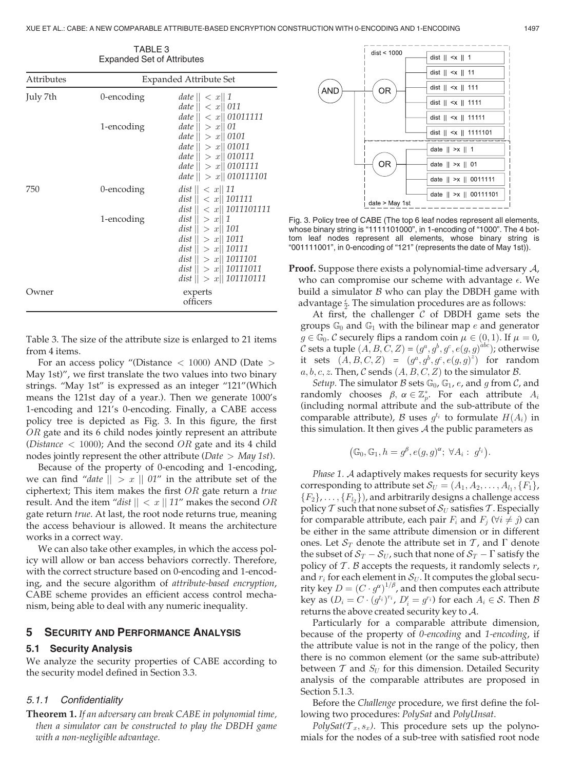| LADAHUGU OGLUI ALIHUULGO |                        |                                                                                                                                                                              |  |  |
|--------------------------|------------------------|------------------------------------------------------------------------------------------------------------------------------------------------------------------------------|--|--|
| <b>Attributes</b>        | Expanded Attribute Set |                                                                                                                                                                              |  |  |
| July 7th                 | 0-encoding             | date $   < x   1$<br>date $   < x    011$<br>date $   < x   01011111$                                                                                                        |  |  |
|                          | 1-encoding             | <i>date</i> $   > x   01$<br>date $   > x   0101$<br>date $   > x   01011$<br>date $   > x   010111$<br>date $   > x   0101111$<br>date $   > x   010111101$                 |  |  |
| 750                      | 0-encoding             | dist $   < x   11$<br>dist $   < x   101111$<br>dist $   < x   1011101111$                                                                                                   |  |  |
|                          | 1-encoding             | dist    > x    1<br>dist $   > x   101$<br>dist $   > x   1011$<br>dist $   > x   10111$<br>dist $   > x   1011101$<br>dist $   > x   10111011$<br>dist $   > x   101110111$ |  |  |
| wner                     |                        | experts<br>officers                                                                                                                                                          |  |  |

TABLE 3 Expanded Set of Attributes

Table 3. The size of the attribute size is enlarged to 21 items from 4 items.

For an access policy "(Distance <sup>&</sup>lt; 1000) AND (Date <sup>&</sup>gt; May 1st)", we first translate the two values into two binary strings. "May 1st" is expressed as an integer "121"(Which means the 121st day of a year.). Then we generate 1000's 1-encoding and 121's 0-encoding. Finally, a CABE access policy tree is depicted as Fig. 3. In this figure, the first OR gate and its 6 child nodes jointly represent an attribute (*Distance*  $<$  1000); And the second *OR* gate and its 4 child nodes jointly represent the other attribute ( $Date > May 1st$ ).

Because of the property of 0-encoding and 1-encoding, we can find "date  $\| > x \| 01$ " in the attribute set of the ciphertext; This item makes the first  $OR$  gate return a true result. And the item "dist  $\| \lt x \| 11$ " makes the second OR gate return true. At last, the root node returns true, meaning the access behaviour is allowed. It means the architecture works in a correct way.

We can also take other examples, in which the access policy will allow or ban access behaviors correctly. Therefore, with the correct structure based on 0-encoding and 1-encoding, and the secure algorithm of attribute-based encryption, CABE scheme provides an efficient access control mechanism, being able to deal with any numeric inequality.

#### 5 SECURITY AND PERFORMANCE ANALYSIS

# 5.1 Security Analysis

We analyze the security properties of CABE according to the security model defined in Section 3.3.

#### 5.1.1 Confidentiality

Theorem 1. If an adversary can break CABE in polynomial time, then a simulator can be constructed to play the DBDH game with a non-negligible advantage.



Fig. 3. Policy tree of CABE (The top 6 leaf nodes represent all elements, whose binary string is "1111101000", in 1-encoding of "1000". The 4 bottom leaf nodes represent all elements, whose binary string is "001111001", in 0-encoding of "121" (represents the date of May 1st)).

**Proof.** Suppose there exists a polynomial-time adversary  $\mathcal{A}$ , who can compromise our scheme with advantage  $\epsilon$ . We build a simulator  $\beta$  who can play the DBDH game with advantage  $\frac{2}{2}$ . The simulation procedures are as follows:<br>At first, the challenger C of DBDH game sets

At first, the challenger  $C$  of DBDH game sets the groups  $\mathbb{G}_0$  and  $\mathbb{G}_1$  with the bilinear map e and generator  $g \in \mathbb{G}_0$ . C securely flips a random coin  $\mu \in (0, 1)$ . If  $\mu = 0$ ,  $\mathcal C$  sets a tuple  $(A,B,\tilde C,Z)$  =  $(g^a,g^b,g^c,e(g,g)^{abc})$ ; otherwise it sets  $(A, B, C, Z) = (g^a, g^b, g^c, e(g, g)^z)$  for random  $a, b, c, z$ . Then, C sends  $(A, B, C, Z)$  to the simulator B.

Setup. The simulator B sets  $\mathbb{G}_0$ ,  $\mathbb{G}_1$ , e, and g from C, and randomly chooses  $\beta$ ,  $\alpha \in \mathbb{Z}_p^*$ . For each attribute  $A_i$ (including normal attribute and the sub-attribute of the comparable attribute), B uses  $q^{t_i}$  to formulate  $H(A_i)$  in this simulation. It then gives  $A$  the public parameters as

$$
(\mathbb{G}_0, \mathbb{G}_1, h = g^{\beta}, e(g, g)^{\alpha}; \ \forall A_i : g^{t_i}.
$$

Phase 1. A adaptively makes requests for security keys corresponding to attribute set  $\mathcal{S}_U = (A_1, A_2, \ldots, A_l, \{F_1\},\$  ${F_2}, \ldots, {F_{l_2}}$ , and arbitrarily designs a challenge access policy  $T$  such that none subset of  $S_U$  satisfies  $T$ . Especially for comparable attribute, each pair  $F_i$  and  $F_j$  ( $\forall i \neq j$ ) can be either in the same attribute dimension or in different ones. Let  $S_T$  denote the attribute set in T, and  $\Gamma$  denote the subset of  $\mathcal{S}_T-\mathcal{S}_U$ , such that none of  $\mathcal{S}_T-\Gamma$  satisfy the policy of  $T$ . B accepts the requests, it randomly selects  $r$ , and  $r_i$  for each element in  $S_U$ . It computes the global security key  $D = (C \cdot g^{\alpha})^{1/\beta}$ , and then computes each attribute key as  $(D_i = C \cdot (g^{t_i})^{r_i}$ ,  $D'_i = g^{r_i}$ ) for each  $A_i \in S$ . Then  $B$ returns the above created security key to A.

Particularly for a comparable attribute dimension, because of the property of 0-encoding and 1-encoding, if the attribute value is not in the range of the policy, then there is no common element (or the same sub-attribute) between  $T$  and  $S_U$  for this dimension. Detailed Security analysis of the comparable attributes are proposed in Section 5.1.3.

Before the Challenge procedure, we first define the following two procedures: PolySat and PolyUnsat.

PolySat( $\mathcal{T}_x$ ,  $s_x$ ). This procedure sets up the polynomials for the nodes of a sub-tree with satisfied root node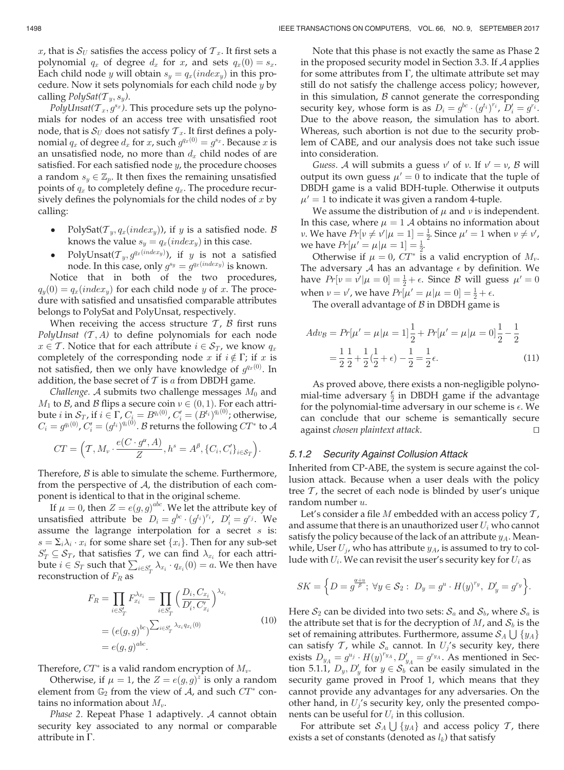PolyUnsat( $T_x, g^{s_x}$ ). This procedure sets up the polynomials for nodes of an access tree with unsatisfied root node, that is  $S_U$  does not satisfy  $T_x$ . It first defines a polynomial  $q_x$  of degree  $d_x$  for  $x$ , such  $g^{q_x(0)} = g^{s_x}$ . Because  $x$  is an unsatisfied node, no more than  $d_x$  child nodes of are satisfied. For each satisfied node  $y$ , the procedure chooses a random  $s_y \in \mathbb{Z}_p$ . It then fixes the remaining unsatisfied points of  $q_x$  to completely define  $q_x$ . The procedure recursively defines the polynomials for the child nodes of  $x$  by calling:

- $\bullet$ PolySat( $\mathcal{T}_y, q_x(index_y)$ ), if y is a satisfied node. B knows the value  $s_y = q_x(index_y)$  in this case.
- $\bullet$ • PolyUnsat $({\mathcal T}_y, g^{q_x (index y)})$ , if  $y$  is not a satisfied node. In this case, only  $g^{s_y}=g^{q_x (index_y)}$  is known.

Notice that in both of the two procedures,  $q_y(0) = q_x(index_y)$  for each child node y of x. The procedure with satisfied and unsatisfied comparable attributes belongs to PolySat and PolyUnsat, respectively.

When receiving the access structure  $T$ ,  $B$  first runs PolyUnsat  $(T, A)$  to define polynomials for each node  $x \in \mathcal{T}$ . Notice that for each attribute  $i \in \mathcal{S}_T$ , we know  $q_x$ completely of the corresponding node x if  $i \notin \Gamma$ ; if x is not satisfied, then we only have knowledge of  $g^{q_x(0)}$ . In addition, the base secret of  $T$  is  $a$  from DBDH game.

Challenge. A submits two challenge messages  $M_0$  and  $M_1$  to  $\mathcal B$ , and  $\mathcal B$  flips a secure coin  $v \in (0, 1)$ . For each attribute  $i$  in  $\mathcal{S}_T$ , if  $i \in \Gamma$ ,  $C_i = B^{q_i(0)}$ ,  $C'_i = (B^{t_i})^{q_i(0)}$ ; otherwise,  $C_i = g^{q_i(0)}$ ,  $C_i' = (g^{t_i})^{q_i(0)}$ . B returns the following  $CT^*$  to  ${\mathcal{A}}$ 

$$
CT = \left(T, M_{\nu} \cdot \frac{e(C \cdot g^{\alpha}, A)}{Z}, h^{s} = A^{\beta}, \{C_{i}, C'_{i}\}_{i \in S_{T}}\right).
$$

Therefore,  $\beta$  is able to simulate the scheme. Furthermore, from the perspective of  $A$ , the distribution of each component is identical to that in the original scheme.

If  $\mu = 0$ , then  $Z = e(g, g)^{abc}$ . We let the attribute key of satisfied attribute be  $D_1 = e^{bc} \cdot (e^{i} \cdot)^{r_i}$   $D' = e^{r_i}$  We unsatisfied attribute be  $D_i = g^{bc} \cdot (g^{t_i})^{r_i}$ ,  $D'_i = g^{r_j}$ . We assume the lagrange interpolation for a secret s is:  $s = \sum_i \lambda_i \cdot x_i$  for some share set  $\{x_i\}$ . Then for any sub-set  $S'_T \subseteq S_T$ , that satisfies  $T$ , we can find  $\lambda_{x_i}$  for each attribute  $i \in S_T$  such that  $\sum_{i \in S'_T} \lambda_{x_i} \cdot q_{x_i}(0) = a$ . We then have reconstruction of  $F_R$  as

$$
F_R = \prod_{i \in S'_T} F_{x_i}^{\lambda_{x_i}} = \prod_{i \in S'_T} \left( \frac{D_i, C_{x_i}}{D'_i, C'_{x_i}} \right)^{\lambda_{x_i}}
$$
  
=  $(e(g, g)^{bc})^{\sum_{i \in S'_T} \lambda_{x_i} q_{x_i}(0)}$   
=  $e(g, g)^{abc}$ . (10)

Therefore,  $CT^*$  is a valid random encryption of  $M_{\nu}$ .

Otherwise, if  $\mu = 1$ , the  $Z = e(g, g)^{z}$  is only a random<br>ment from  $\mathbb{C}^{\mathbb{C}}$  from the view of  $A$  and such  $CT^*$  conelement from  $\mathbb{G}_2$  from the view of A, and such  $CT^*$  contains no information about  $M_{\nu}$ .

Phase 2. Repeat Phase 1 adaptively. A cannot obtain security key associated to any normal or comparable attribute in  $\Gamma$ .

Note that this phase is not exactly the same as Phase 2 in the proposed security model in Section 3.3. If A applies for some attributes from  $\Gamma$ , the ultimate attribute set may still do not satisfy the challenge access policy; however, in this simulation,  $\beta$  cannot generate the corresponding security key, whose form is as  $D_i = g^{bc} \cdot (g^{t_i})^{r_i}$ ,  $D'_i = g^{r_i}$ . Due to the above reason, the simulation has to abort. Whereas, such abortion is not due to the security problem of CABE, and our analysis does not take such issue into consideration.

Guess. A will submits a guess  $v'$  of v. If  $v' = v$ , B will output its own guess  $\mu' = 0$  to indicate that the tuple of DBDH game is a valid BDH-tuple. Otherwise it outputs  $\mu' = 1$  to indicate it was given a random 4-tuple.

We assume the distribution of  $\mu$  and  $\nu$  is independent. In this case, where  $\mu = 1$  A obtains no information about *v*. We have  $Pr[v \neq v' | \mu = 1] = \frac{1}{2}$ . Since  $\mu' = 1$  when  $v \neq v'$ , we have  $Pr[u' = u | \mu = 1] = \frac{1}{2}$ . we have  $Pr[\mu' = \mu | \mu = 1] = \frac{1}{2}$ .<br>Otherwise if  $\mu = 0$  CT<sup>\*</sup> is

Otherwise if  $\mu = 0$ ,  $CT^*$  is a valid encryption of  $M_{\nu}$ . The adversary A has an advantage  $\epsilon$  by definition. We have  $Pr[v = v' | \mu = 0] = \frac{1}{2} + \epsilon$ . Since B will guess  $\mu' = 0$ <br>when  $y = y'$  we have  $Pr[u' = u | u = 0] = \frac{1}{2} + \epsilon$ . when  $v = v'$ , we have  $Pr[\mu' = \mu | \mu = 0] = \frac{1}{2} + \epsilon$ .<br>The overall advantage of *B* in DBDH game i

The overall advantage of  $\beta$  in DBDH game is

$$
Adv_{\mathcal{B}} = Pr[\mu' = \mu | \mu = 1] \frac{1}{2} + Pr[\mu' = \mu | \mu = 0] \frac{1}{2} - \frac{1}{2}
$$

$$
= \frac{1}{2} \frac{1}{2} + \frac{1}{2} (\frac{1}{2} + \epsilon) - \frac{1}{2} = \frac{1}{2} \epsilon.
$$
(11)

As proved above, there exists a non-negligible polynomial-time adversary  $\frac{\epsilon}{2}$  in DBDH game if the advantage for the polynomial-time adversary in our scheme is  $\epsilon$ . We for the polynomial-time adversary in our scheme is  $\epsilon$ . We can conclude that our scheme is semantically secure  $a$ gainst chosen plaintext attack.

# 5.1.2 Security Against Collusion Attack

Inherited from CP-ABE, the system is secure against the collusion attack. Because when a user deals with the policy tree  $\tau$ , the secret of each node is blinded by user's unique random number u.

Let's consider a file  $M$  embedded with an access policy  $T$ , and assume that there is an unauthorized user  $U_i$  who cannot satisfy the policy because of the lack of an attribute  $y_A$ . Meanwhile, User  $U_i$ , who has attribute  $y_A$ , is assumed to try to collude with  $U_i$ . We can revisit the user's security key for  $U_i$  as

$$
SK = \left\{ D = g^{\frac{\alpha + u}{\beta}}; \ \forall y \in \mathcal{S}_2: \ D_y = g^u \cdot H(y)^{r_y}, \ D'_y = g^{r_y} \right\}.
$$

Here  $S_2$  can be divided into two sets:  $S_a$  and  $S_b$ , where  $S_a$  is the attribute set that is for the decryption of  $M$ , and  $S_b$  is the set of remaining attributes. Furthermore, assume  $\mathcal{S}_{A}\bigcup\{y_{A}\}$ can satisfy  $T$ , while  $S_a$  cannot. In  $U_j$ 's security key, there exists  $D_{y_A} = g^{u_j} \cdot H(y)^{r_{y_A}}, D'_{y_A} = g^{r_{y_A}}$ . As mentioned in Section 5.1.1,  $D_y, D'_y$  for  $y \in S_b$  can be easily simulated in the security game proved in Proof 1, which means that they cannot provide any advantages for any adversaries. On the other hand, in  $U_i$ 's security key, only the presented components can be useful for  $U_i$  in this collusion.

For attribute set  $\mathcal{S}_A\bigcup \{y_A\}$  and access policy  $\mathcal{T}$ , there exists a set of constants (denoted as  $l_k$ ) that satisfy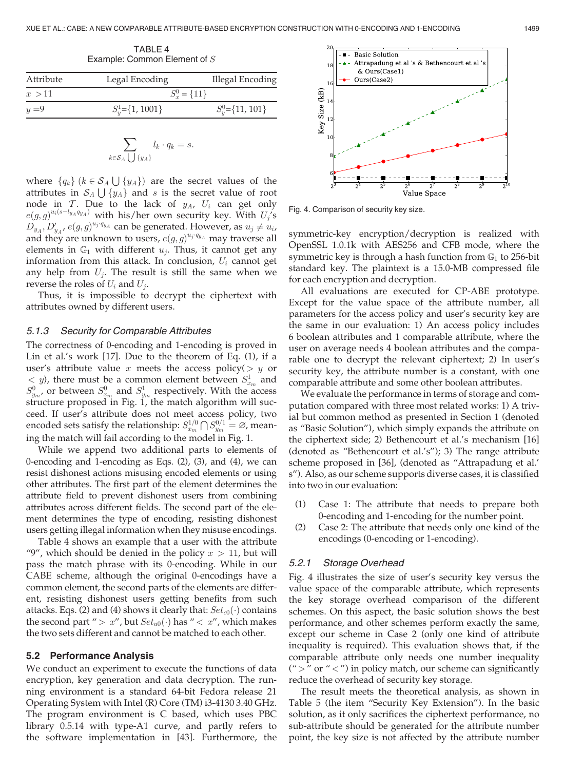TABLE 4 Example: Common Element of S

| Attribute | Legal Encoding        | Illegal Encoding       |
|-----------|-----------------------|------------------------|
| x > 11    | $S_r^0 = \{11\}$      |                        |
| $y=9$     | $S_v^1 = \{1, 1001\}$ | $S_{\nu}^0$ ={11, 101} |

$$
\sum_{k \in \mathcal{S}_A \bigcup \{y_A\}} l_k \cdot q_k = s.
$$

where  $\{q_k\}$  ( $k \in S_A \cup \{y_A\}$ ) are the secret values of the attributes in  $\mathcal{S}_A \bigcup \{y_A\}$  and s is the secret value of root node in T. Due to the lack of  $y_A$ ,  $U_i$  can get only  $e(g,g)^{u_i(s-l_{y_A}q_{y_A})}$  with his/her own security key. With  $U_j$ 's  $D_{y_A}, D'_{y_{A}}, e(g, g)^{u_j \cdot q_{y_A}}$  can be generated. However, as  $u_j \neq u_i$ and they are unknown to users,  $e(g, g)^{u_j \cdot q_{y_A}}$  may traverse all elements in  $\mathbb{G}_1$  with different  $u_j$ . Thus, it cannot get any information from this attack. In conclusion,  $U_i$  cannot get any help from  $U_i$ . The result is still the same when we reverse the roles of  $U_i$  and  $U_j$ .

Thus, it is impossible to decrypt the ciphertext with attributes owned by different users.

#### 5.1.3 Security for Comparable Attributes

The correctness of 0-encoding and 1-encoding is proved in Lin et al.'s work [17]. Due to the theorem of Eq. (1), if a user's attribute value x meets the access policy( $> y$  or  $\langle y \rangle$ , there must be a common element between  $S_{x_m}^1$  and  $S^0_{y_m}$ , or between  $S^0_{x_m}$  and  $S^1_{y_m}$  respectively. With the access structure proposed in Fig. 1, the match algorithm will succeed. If user's attribute does not meet access policy, two encoded sets satisfy the relationship:  $S_{x_m}^{1/0} \bigcap S_{y_m}^{0/1} = \varnothing$ , meaning the match will fail according to the model in Fig. 1.

While we append two additional parts to elements of 0-encoding and 1-encoding as Eqs. (2), (3), and (4), we can resist dishonest actions misusing encoded elements or using other attributes. The first part of the element determines the attribute field to prevent dishonest users from combining attributes across different fields. The second part of the element determines the type of encoding, resisting dishonest users getting illegal information when they misuse encodings.

Table 4 shows an example that a user with the attribute "9", which should be denied in the policy  $x > 11$ , but will pass the match phrase with its 0-encoding. While in our CABE scheme, although the original 0-encodings have a common element, the second parts of the elements are different, resisting dishonest users getting benefits from such attacks. Eqs. (2) and (4) shows it clearly that:  $Set_{c0}(\cdot)$  contains the second part " >  $x$ ", but  $Set_{u0}(\cdot)$  has " <  $x$ ", which makes the two sets different and cannot be matched to each other.

#### 5.2 Performance Analysis

We conduct an experiment to execute the functions of data encryption, key generation and data decryption. The running environment is a standard 64-bit Fedora release 21 Operating System with Intel (R) Core (TM) i3-4130 3.40 GHz. The program environment is C based, which uses PBC library 0.5.14 with type-A1 curve, and partly refers to the software implementation in [43]. Furthermore, the



Fig. 4. Comparison of security key size.

symmetric-key encryption/decryption is realized with OpenSSL 1.0.1k with AES256 and CFB mode, where the symmetric key is through a hash function from  $\mathbb{G}_1$  to 256-bit standard key. The plaintext is a 15.0-MB compressed file for each encryption and decryption.

All evaluations are executed for CP-ABE prototype. Except for the value space of the attribute number, all parameters for the access policy and user's security key are the same in our evaluation: 1) An access policy includes 6 boolean attributes and 1 comparable attribute, where the user on average needs 4 boolean attributes and the comparable one to decrypt the relevant ciphertext; 2) In user's security key, the attribute number is a constant, with one comparable attribute and some other boolean attributes.

We evaluate the performance in terms of storage and computation compared with three most related works: 1) A trivial but common method as presented in Section 1 (denoted as "Basic Solution"), which simply expands the attribute on the ciphertext side; 2) Bethencourt et al.'s mechanism [16] (denoted as "Bethencourt et al.'s"); 3) The range attribute scheme proposed in [36], (denoted as "Attrapadung et al.' s"). Also, as our scheme supports diverse cases, it is classified into two in our evaluation:

- (1) Case 1: The attribute that needs to prepare both 0-encoding and 1-encoding for the number point.
- (2) Case 2: The attribute that needs only one kind of the encodings (0-encoding or 1-encoding).

# 5.2.1 Storage Overhead

Fig. 4 illustrates the size of user's security key versus the value space of the comparable attribute, which represents the key storage overhead comparison of the different schemes. On this aspect, the basic solution shows the best performance, and other schemes perform exactly the same, except our scheme in Case 2 (only one kind of attribute inequality is required). This evaluation shows that, if the comparable attribute only needs one number inequality ("  $>$  " or "  $<$  ") in policy match, our scheme can significantly reduce the overhead of security key storage.

The result meets the theoretical analysis, as shown in Table 5 (the item "Security Key Extension"). In the basic solution, as it only sacrifices the ciphertext performance, no sub-attribute should be generated for the attribute number point, the key size is not affected by the attribute number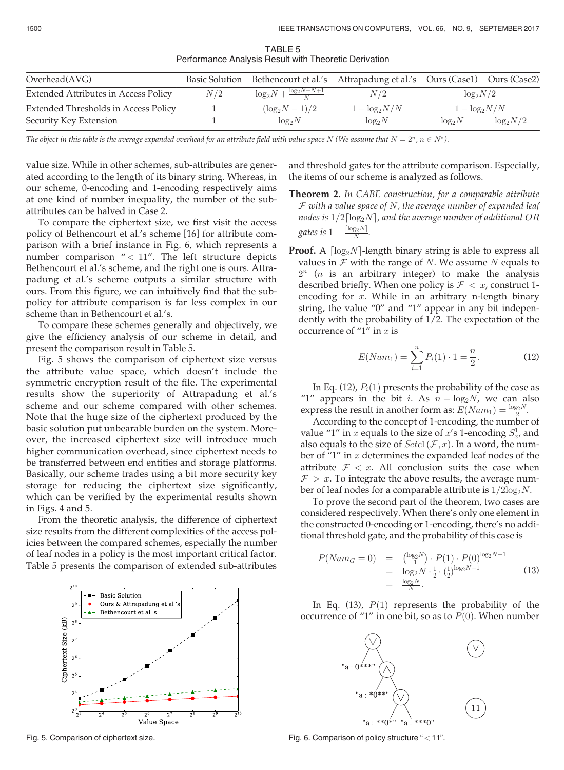TABLE 5 Performance Analysis Result with Theoretic Derivation

| Overhead(AVG)                        |     |                                         | Basic Solution Bethencourt et al.'s Attrapadung et al.'s Ours (Case1) Ours (Case2) |                  |              |
|--------------------------------------|-----|-----------------------------------------|------------------------------------------------------------------------------------|------------------|--------------|
| Extended Attributes in Access Policy | N/2 | $\log_2 N + \frac{\log_2 N - N + 1}{N}$ | N/2                                                                                | $\log_2 N/2$     |              |
| Extended Thresholds in Access Policy |     | $(\log_2 N - 1)/2$                      | $1 - \log_2 N/N$                                                                   | $1 - \log_2 N/N$ |              |
| Security Key Extension               |     | $log_2 N$                               | $log_2 N$                                                                          | $log_2 N$        | $\log_2 N/2$ |

The object in this table is the average expanded overhead for an attribute field with value space N (We assume that  $N = 2^n$ ,  $n \in N^*$ ).

value size. While in other schemes, sub-attributes are generated according to the length of its binary string. Whereas, in our scheme, 0-encoding and 1-encoding respectively aims at one kind of number inequality, the number of the subattributes can be halved in Case 2.

To compare the ciphertext size, we first visit the access policy of Bethencourt et al.'s scheme [16] for attribute comparison with a brief instance in Fig. 6, which represents a number comparison  $\degree$  < 11". The left structure depicts Bethencourt et al.'s scheme, and the right one is ours. Attrapadung et al.'s scheme outputs a similar structure with ours. From this figure, we can intuitively find that the subpolicy for attribute comparison is far less complex in our scheme than in Bethencourt et al.'s.

To compare these schemes generally and objectively, we give the efficiency analysis of our scheme in detail, and present the comparison result in Table 5.

Fig. 5 shows the comparison of ciphertext size versus the attribute value space, which doesn't include the symmetric encryption result of the file. The experimental results show the superiority of Attrapadung et al.'s scheme and our scheme compared with other schemes. Note that the huge size of the ciphertext produced by the basic solution put unbearable burden on the system. Moreover, the increased ciphertext size will introduce much higher communication overhead, since ciphertext needs to be transferred between end entities and storage platforms. Basically, our scheme trades using a bit more security key storage for reducing the ciphertext size significantly, which can be verified by the experimental results shown in Figs. 4 and 5.

From the theoretic analysis, the difference of ciphertext size results from the different complexities of the access policies between the compared schemes, especially the number of leaf nodes in a policy is the most important critical factor. Table 5 presents the comparison of extended sub-attributes



and threshold gates for the attribute comparison. Especially, the items of our scheme is analyzed as follows.

- Theorem 2. In CABE construction, for a comparable attribute  $F$  with a value space of  $N$ , the average number of expanded leaf nodes is  $1/2\lceil\log_2N\rceil$ , and the average number of additional OR gates is  $1 - \frac{\lceil \log_2 N \rceil}{N}$ .
- **Proof.** A  $\lceil \log_2N \rceil$ -length binary string is able to express all values in  $F$  with the range of N. We assume N equals to  $2^n$  (*n* is an arbitrary integer) to make the analysis described briefly. When one policy is  $\mathcal{F} < x$ , construct 1encoding for  $x$ . While in an arbitrary n-length binary string, the value "0" and "1" appear in any bit independently with the probability of 1/2. The expectation of the occurrence of "1" in  $x$  is

$$
E(Num_1) = \sum_{i=1}^{n} P_i(1) \cdot 1 = \frac{n}{2}.
$$
 (12)

In Eq. (12),  $P_i(1)$  presents the probability of the case as "1" appears in the bit *i*. As  $n = \log_2 N$ , we can also express the result in another form as:  $E(Num_1) = \frac{\log_2 N}{2}$ .<br>According to the concept of 1-encoding the number

According to the concept of 1-encoding, the number of value "1" in  $x$  equals to the size of  $x$ 's 1-encoding  $S_{x}^{1}$ , and also equals to the size of  $Setc1(\mathcal{F}, x)$ . In a word, the number of "1" in  $x$  determines the expanded leaf nodes of the attribute  $\mathcal{F} < x$ . All conclusion suits the case when  $\mathcal{F} > x$ . To integrate the above results, the average number of leaf nodes for a comparable attribute is  $1/2\log_2N$ .

To prove the second part of the theorem, two cases are considered respectively. When there's only one element in the constructed 0-encoding or 1-encoding, there's no additional threshold gate, and the probability of this case is

$$
P(Num_G = 0) = \begin{cases} \log_2 N \\ 1 \end{cases} \cdot P(1) \cdot P(0)^{\log_2 N - 1} = \log_2 N \cdot \frac{1}{2} \cdot (\frac{1}{2})^{\log_2 N - 1} = \frac{\log_2 N}{N}.
$$
 (13)

In Eq. (13),  $P(1)$  represents the probability of the occurrence of "1" in one bit, so as to  $P(0)$ . When number



Fig. 5. Comparison of ciphertext size. Fig. 6. Comparison of policy structure " < 11".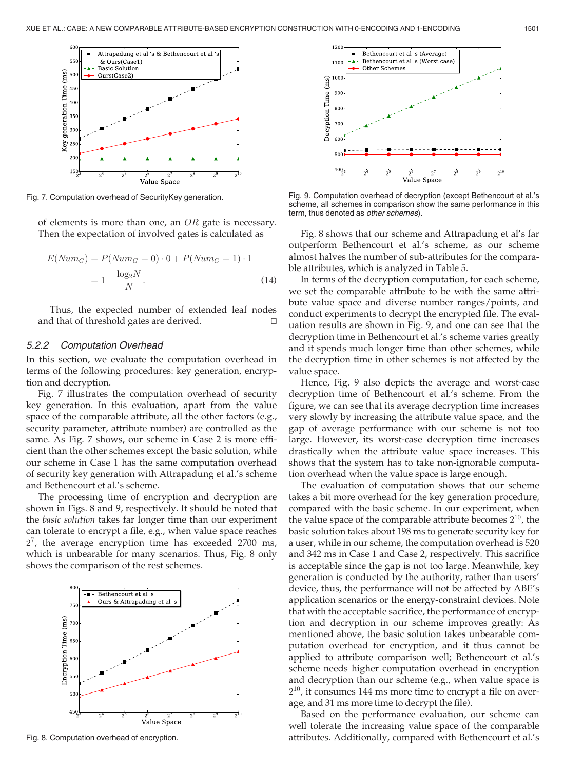

Fig. 7. Computation overhead of SecurityKey generation.

of elements is more than one, an  $OR$  gate is necessary. Then the expectation of involved gates is calculated as

$$
E(Num_G) = P(Num_G = 0) \cdot 0 + P(Num_G = 1) \cdot 1
$$

$$
= 1 - \frac{\log_2 N}{N}.
$$
(14)

Thus, the expected number of extended leaf nodes and that of threshold gates are derived.

#### 5.2.2 Computation Overhead

In this section, we evaluate the computation overhead in terms of the following procedures: key generation, encryption and decryption.

Fig. 7 illustrates the computation overhead of security key generation. In this evaluation, apart from the value space of the comparable attribute, all the other factors (e.g., security parameter, attribute number) are controlled as the same. As Fig. 7 shows, our scheme in Case 2 is more efficient than the other schemes except the basic solution, while our scheme in Case 1 has the same computation overhead of security key generation with Attrapadung et al.'s scheme and Bethencourt et al.'s scheme.

The processing time of encryption and decryption are shown in Figs. 8 and 9, respectively. It should be noted that the basic solution takes far longer time than our experiment can tolerate to encrypt a file, e.g., when value space reaches  $2^7$ , the average encryption time has exceeded 2700 ms, which is unbearable for many scenarios. Thus, Fig. 8 only shows the comparison of the rest schemes.





Fig. 9. Computation overhead of decryption (except Bethencourt et al.'s scheme, all schemes in comparison show the same performance in this term, thus denoted as other schemes).

Fig. 8 shows that our scheme and Attrapadung et al's far outperform Bethencourt et al.'s scheme, as our scheme almost halves the number of sub-attributes for the comparable attributes, which is analyzed in Table 5.

In terms of the decryption computation, for each scheme, we set the comparable attribute to be with the same attribute value space and diverse number ranges/points, and conduct experiments to decrypt the encrypted file. The evaluation results are shown in Fig. 9, and one can see that the decryption time in Bethencourt et al.'s scheme varies greatly and it spends much longer time than other schemes, while the decryption time in other schemes is not affected by the value space.

Hence, Fig. 9 also depicts the average and worst-case decryption time of Bethencourt et al.'s scheme. From the figure, we can see that its average decryption time increases very slowly by increasing the attribute value space, and the gap of average performance with our scheme is not too large. However, its worst-case decryption time increases drastically when the attribute value space increases. This shows that the system has to take non-ignorable computation overhead when the value space is large enough.

The evaluation of computation shows that our scheme takes a bit more overhead for the key generation procedure, compared with the basic scheme. In our experiment, when the value space of the comparable attribute becomes  $2^{10}$ , the basic solution takes about 198 ms to generate security key for a user, while in our scheme, the computation overhead is 520 and 342 ms in Case 1 and Case 2, respectively. This sacrifice is acceptable since the gap is not too large. Meanwhile, key generation is conducted by the authority, rather than users' device, thus, the performance will not be affected by ABE's application scenarios or the energy-constraint devices. Note that with the acceptable sacrifice, the performance of encryption and decryption in our scheme improves greatly: As mentioned above, the basic solution takes unbearable computation overhead for encryption, and it thus cannot be applied to attribute comparison well; Bethencourt et al.'s scheme needs higher computation overhead in encryption and decryption than our scheme (e.g., when value space is  $2^{10}$ , it consumes 144 ms more time to encrypt a file on average, and 31 ms more time to decrypt the file).

Based on the performance evaluation, our scheme can well tolerate the increasing value space of the comparable Fig. 8. Computation overhead of encryption. The state of encryption attributes. Additionally, compared with Bethencourt et al.'s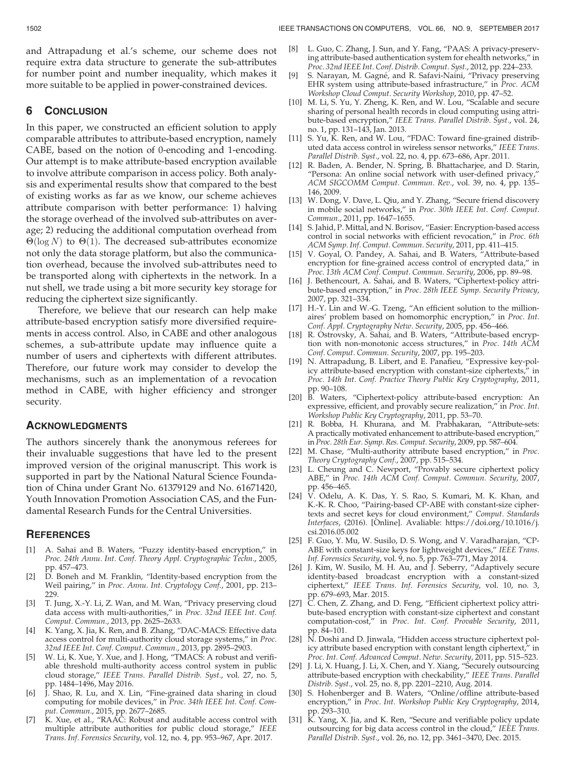and Attrapadung et al.'s scheme, our scheme does not require extra data structure to generate the sub-attributes for number point and number inequality, which makes it more suitable to be applied in power-constrained devices.

# 6 CONCLUSION

In this paper, we constructed an efficient solution to apply comparable attributes to attribute-based encryption, namely CABE, based on the notion of 0-encoding and 1-encoding. Our attempt is to make attribute-based encryption available to involve attribute comparison in access policy. Both analysis and experimental results show that compared to the best of existing works as far as we know, our scheme achieves attribute comparison with better performance: 1) halving the storage overhead of the involved sub-attributes on average; 2) reducing the additional computation overhead from  $\Theta(\log N)$  to  $\Theta(1)$ . The decreased sub-attributes economize not only the data storage platform, but also the communication overhead, because the involved sub-attributes need to be transported along with ciphertexts in the network. In a nut shell, we trade using a bit more security key storage for reducing the ciphertext size significantly.

Therefore, we believe that our research can help make attribute-based encryption satisfy more diversified requirements in access control. Also, in CABE and other analogous schemes, a sub-attribute update may influence quite a number of users and ciphertexts with different attributes. Therefore, our future work may consider to develop the mechanisms, such as an implementation of a revocation method in CABE, with higher efficiency and stronger security.

# ACKNOWLEDGMENTS

The authors sincerely thank the anonymous referees for their invaluable suggestions that have led to the present improved version of the original manuscript. This work is supported in part by the National Natural Science Foundation of China under Grant No. 61379129 and No. 61671420, Youth Innovation Promotion Association CAS, and the Fundamental Research Funds for the Central Universities.

# **REFERENCES**

- [1] A. Sahai and B. Waters, "Fuzzy identity-based encryption," in Proc. 24th Annu. Int. Conf. Theory Appl. Cryptographic Techn., 2005, pp. 457–473.
- [2]  $\overrightarrow{D}$ . Boneh and M. Franklin, "Identity-based encryption from the Weil pairing," in Proc. Annu. Int. Cryptology Conf., 2001, pp. 213– 229.
- [3] T. Jung, X.-Y. Li, Z. Wan, and M. Wan, "Privacy preserving cloud data access with multi-authorities," in Proc. 32nd IEEE Int. Conf. Comput. Commun., 2013, pp. 2625–2633.
- [4] K. Yang, X. Jia, K. Ren, and B. Zhang, "DAC-MACS: Effective data access control for multi-authority cloud storage systems," in Proc. 32nd IEEE Int. Conf. Comput. Commun., 2013, pp. 2895–2903.
- [5] W. Li, K. Xue, Y. Xue, and J. Hong, "TMACS: A robust and verifiable threshold multi-authority access control system in public cloud storage," IEEE Trans. Parallel Distrib. Syst., vol. 27, no. 5, pp. 1484–1496, May 2016.
- [6] J. Shao, R. Lu, and X. Lin, "Fine-grained data sharing in cloud computing for mobile devices," in Proc. 34th IEEE Int. Conf. Comput. Commun., 2015, pp. 2677–2685.
- [7] K. Xue, et al., "RAAC: Robust and auditable access control with multiple attribute authorities for public cloud storage," IEEE Trans. Inf. Forensics Security, vol. 12, no. 4, pp. 953–967, Apr. 2017.
- [8] L. Guo, C. Zhang, J. Sun, and Y. Fang, "PAAS: A privacy-preserving attribute-based authentication system for ehealth networks," in Proc. 32nd IEEE Int. Conf. Distrib. Comput. Syst., 2012, pp. 224–233.
- [9] S. Narayan, M. Gagne, and R. Safavi-Naini, "Privacy preserving<br>EHR system using attribute-based infrastructure." in Proc. ACM EHR system using attribute-based infrastructure," in Proc. ACM Workshop Cloud Comput. Security Workshop, 2010, pp. 47–52.
- [10] M. Li, S. Yu, Y. Zheng, K. Ren, and W. Lou, "Scalable and secure sharing of personal health records in cloud computing using attribute-based encryption," IEEE Trans. Parallel Distrib. Syst., vol. 24, no. 1, pp. 131–143, Jan. 2013.
- [11] S. Yu, K. Ren, and W. Lou, "FDAC: Toward fine-grained distributed data access control in wireless sensor networks," IEEE Trans. Parallel Distrib. Syst., vol. 22, no. 4, pp. 673–686, Apr. 2011.
- [12] R. Baden, A. Bender, N. Spring, B. Bhattacharjee, and D. Starin, "Persona: An online social network with user-defined privacy, ACM SIGCOMM Comput. Commun. Rev., vol. 39, no. 4, pp. 135– 146, 2009.
- [13] W. Dong, V. Dave, L. Qiu, and Y. Zhang, "Secure friend discovery in mobile social networks," in Proc. 30th IEEE Int. Conf. Comput. Commun., 2011, pp. 1647–1655.
- [14] S. Jahid, P. Mittal, and N. Borisov, "Easier: Encryption-based access control in social networks with efficient revocation," in Proc. 6th ACM Symp. Inf. Comput. Commun. Security, 2011, pp. 411–415.
- [15] V. Goyal, O. Pandey, A. Sahai, and B. Waters, "Attribute-based encryption for fine-grained access control of encrypted data," in Proc. 13th ACM Conf. Comput. Commun. Security, 2006, pp. 89-98.
- [16] J. Bethencourt, A. Sahai, and B. Waters, "Ciphertext-policy attribute-based encryption," in Proc. 28th IEEE Symp. Security Privacy, 2007, pp. 321–334.
- [17] H.-Y. Lin and W.-G. Tzeng, "An efficient solution to the millionaires' problem based on homomorphic encryption," in Proc. Int. Conf. Appl. Cryptography Netw. Security, 2005, pp. 456–466.
- [18] R. Ostrovsky, A. Sahai, and B. Waters, "Attribute-based encryption with non-monotonic access structures," in Proc. 14th ACM Conf. Comput. Commun. Security, 2007, pp. 195–203.
- [19] N. Attrapadung, B. Libert, and E. Panafieu, "Expressive key-policy attribute-based encryption with constant-size ciphertexts," in Proc. 14th Int. Conf. Practice Theory Public Key Cryptography, 2011, pp. 90–108.
- [20] B. Waters, "Ciphertext-policy attribute-based encryption: An expressive, efficient, and provably secure realization," in Proc. Int. Workshop Public Key Cryptography, 2011, pp. 53–70.
- [21] R. Bobba, H. Khurana, and M. Prabhakaran, "Attribute-sets: A practically motivated enhancement to attribute-based encryption," in Proc. 28th Eur. Symp. Res. Comput. Security, 2009, pp. 587–604.
- [22] M. Chase, "Multi-authority attribute based encryption," in Proc. Theory Cryptography Conf., 2007, pp. 515–534.
- [23] L. Cheung and C. Newport, "Provably secure ciphertext policy ABE," in Proc. 14th ACM Conf. Comput. Commun. Security, 2007, pp. 456–465.
- [24] V. Odelu, A. K. Das, Y. S. Rao, S. Kumari, M. K. Khan, and K.-K. R. Choo, "Pairing-based CP-ABE with constant-size ciphertexts and secret keys for cloud environment," Comput. Standards Interfaces, (2016). [Online]. Avaliable: https://doi.org/10.1016/j. csi.2016.05.002
- [25] F. Guo, Y. Mu, W. Susilo, D. S. Wong, and V. Varadharajan, "CP-ABE with constant-size keys for lightweight devices," IEEE Trans. Inf. Forensics Security, vol. 9, no. 5, pp. 763–771, May 2014.
- [26] J. Kim, W. Susilo, M. H. Au, and J. Seberry, "Adaptively secure identity-based broadcast encryption with a constant-sized ciphertext," IEEE Trans. Inf. Forensics Security, vol. 10, no. 3, pp. 679–693, Mar. 2015.
- [27] C. Chen, Z. Zhang, and D. Feng, "Efficient ciphertext policy attribute-based encryption with constant-size ciphertext and constant computation-cost," in Proc. Int. Conf. Provable Security, 2011, pp. 84–101.
- [28] N. Doshi and D. Jinwala, "Hidden access structure ciphertext policy attribute based encryption with constant length ciphertext," in Proc. Int. Conf. Advanced Comput. Netw. Security, 2011, pp. 515-523.
- [29] J. Li, X. Huang, J. Li, X. Chen, and Y. Xiang, "Securely outsourcing attribute-based encryption with checkability," IEEE Trans. Parallel Distrib. Syst., vol. 25, no. 8, pp. 2201–2210, Aug. 2014.
- [30] S. Hohenberger and B. Waters, "Online/offline attribute-based encryption," in Proc. Int. Workshop Public Key Cryptography, 2014, pp. 293–310.
- [31] K. Yang, X. Jia, and K. Ren, "Secure and verifiable policy update outsourcing for big data access control in the cloud," IEEE Trans. Parallel Distrib. Syst., vol. 26, no. 12, pp. 3461–3470, Dec. 2015.